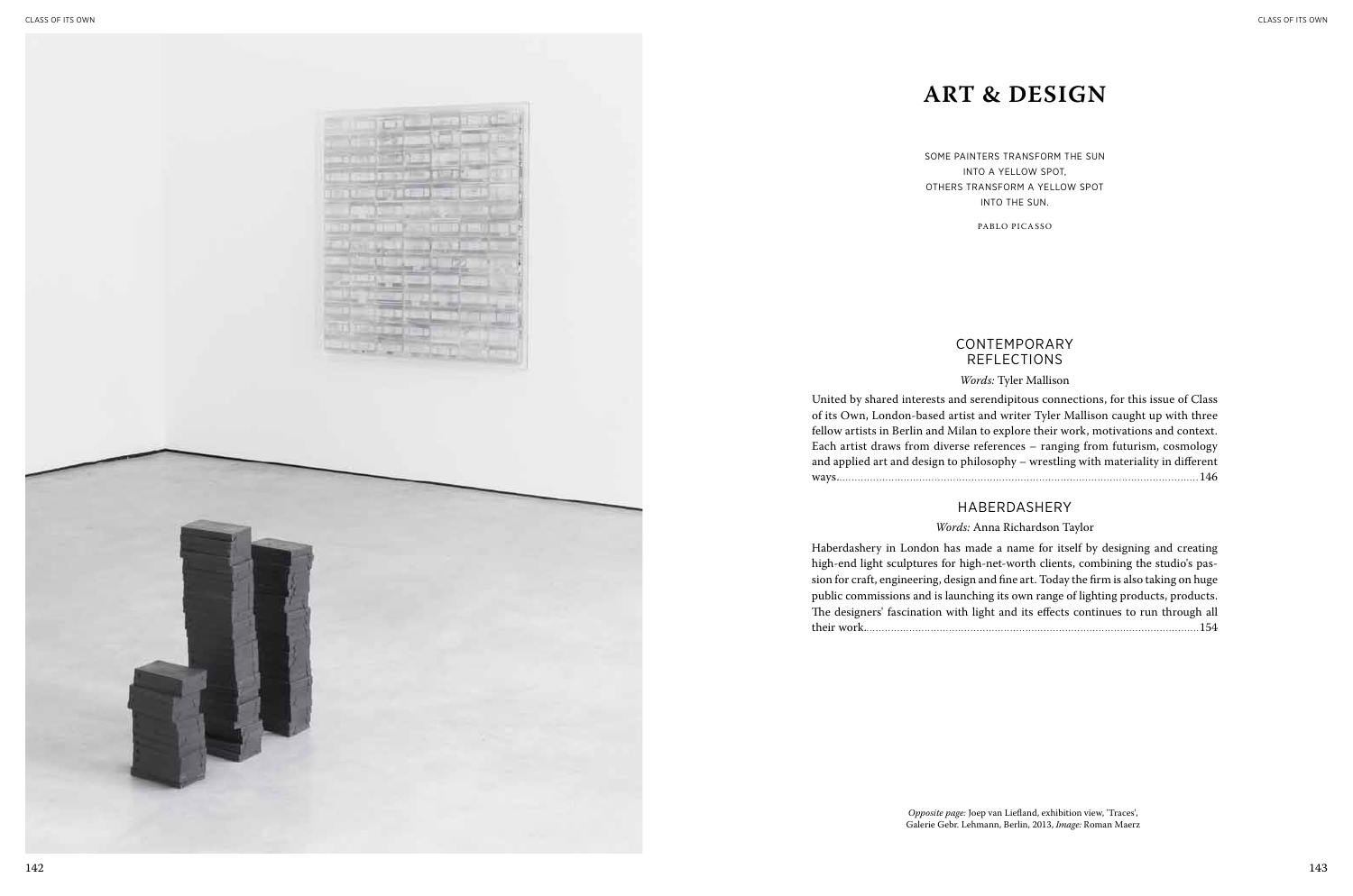

### **CONTEMPORARY** Reflections

| ctions, for this issue of Class |
|---------------------------------|
| allison caught up with three    |
| rk, motivations and context.    |
| g from futurism, cosmology      |
| y with materiality in different |
|                                 |

| If by designing and creating    |
|---------------------------------|
| combining the studio's pas-     |
| he firm is also taking on huge: |
| f lighting products, products.  |
| continues to run through all    |
| .                               |
|                                 |

### *Words:* Tyler Mallison

United by shared interests and serendipitous conned of its Own, London-based artist and writer Tyler M fellow artists in Berlin and Milan to explore their wor Each artist draws from diverse references – ranging and applied art and design to philosophy – wrestling ways......................................................................................................................146

Haberdashery in London has made a name for itsel high-end light sculptures for high-net-worth clients, sion for craft, engineering, design and fine art. Today the public commissions and is launching its own range of The designers' fascination with light and its effects their work..............................................................................................................154

### Haberdashery

### *Words:* Anna Richardson Taylor

Some painters transform the sun into a yellow spot, others transform a yellow spot into the sun.

Pablo Picasso

## **Art & Design**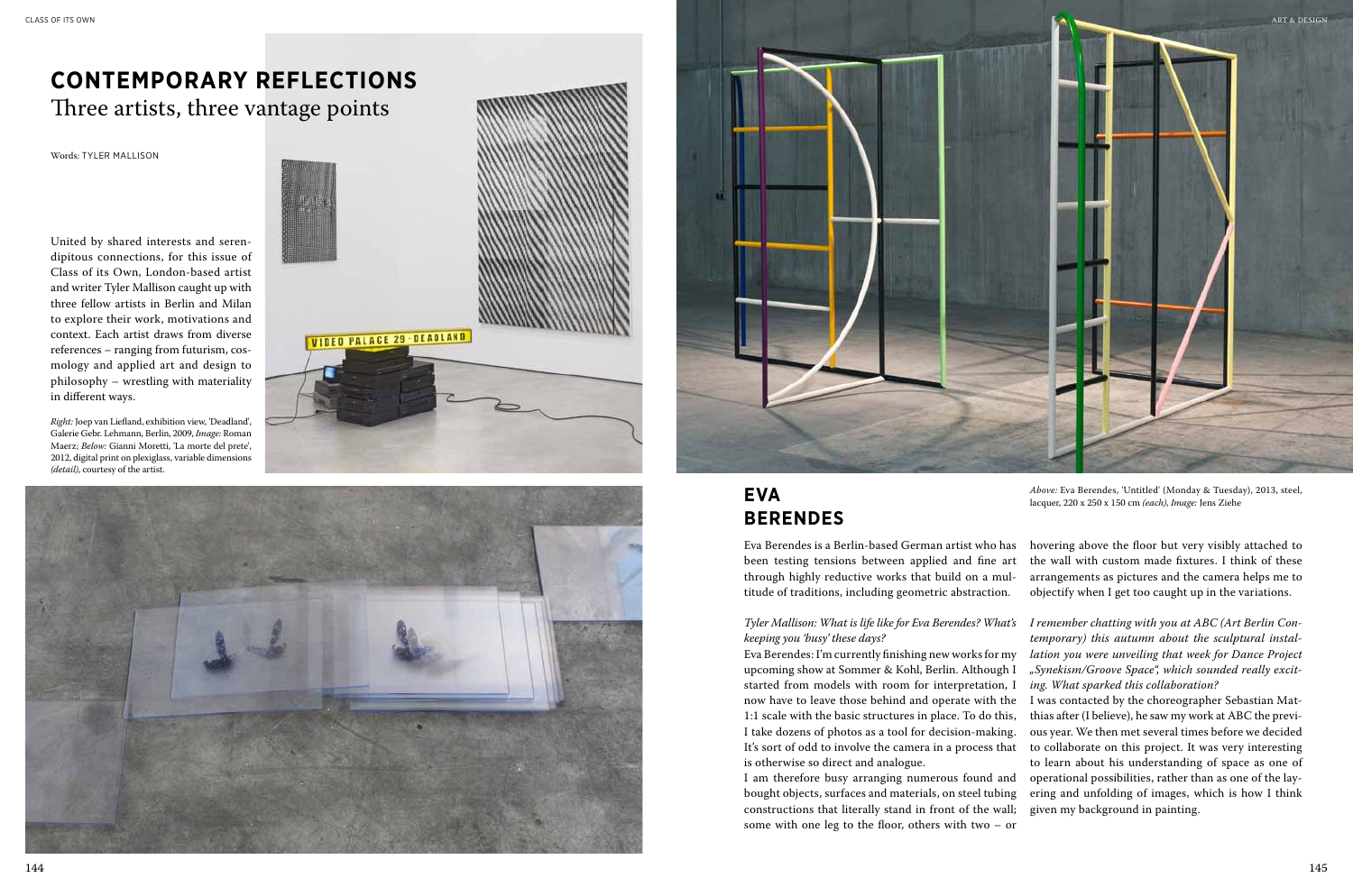

*Above:* Eva Berendes, 'Untitled' (Monday & Tuesday), 2013, steel, lacquer, 220 x 250 x 150 cm *(each)*, *Image:* Jens Ziehe

Eva Berendes is a Berlin-based German artist who has been testing tensions between applied and fine art through highly reductive works that build on a multitude of traditions, including geometric abstraction.

*Tyler Mallison: What is life like for Eva Berendes? What's keeping you 'busy' these days?* 

Eva Berendes: I'm currently finishing new works for my upcoming show at Sommer & Kohl, Berlin. Although I started from models with room for interpretation, I now have to leave those behind and operate with the 1:1 scale with the basic structures in place. To do this, I take dozens of photos as a tool for decision-making. It's sort of odd to involve the camera in a process that is otherwise so direct and analogue.

I am therefore busy arranging numerous found and bought objects, surfaces and materials, on steel tubing constructions that literally stand in front of the wall; some with one leg to the floor, others with two – or

hovering above the floor but very visibly attached to the wall with custom made fixtures. I think of these arrangements as pictures and the camera helps me to objectify when I get too caught up in the variations.

*I remember chatting with you at ABC (Art Berlin Con-*

*temporary) this autumn about the sculptural installation you were unveiling that week for Dance Project "Synekism/Groove Space", which sounded really exciting. What sparked this collaboration?* I was contacted by the choreographer Sebastian Matthias after (I believe), he saw my work at ABC the previous year. We then met several times before we decided to collaborate on this project. It was very interesting to learn about his understanding of space as one of operational possibilities, rather than as one of the layering and unfolding of images, which is how I think given my background in painting.

United by shared interests and serendipitous connections, for this issue of Class of its Own, London-based artist and writer Tyler Mallison caught up with three fellow artists in Berlin and Milan to explore their work, motivations and context. Each artist draws from diverse references – ranging from futurism, cosmology and applied art and design to philosophy – wrestling with materiality in different ways.

# **Contemporary Reflections** Three artists, three vantage points

Words: TYLER MALLISON

## **Eva Berendes**

*Right:* Joep van Liefland, exhibition view, 'Deadland', Galerie Gebr. Lehmann, Berlin, 2009, *Image:* Roman Maerz; *Below:* Gianni Moretti, 'La morte del prete', 2012, digital print on plexiglass, variable dimensions *(detail)*, courtesy of the artist.



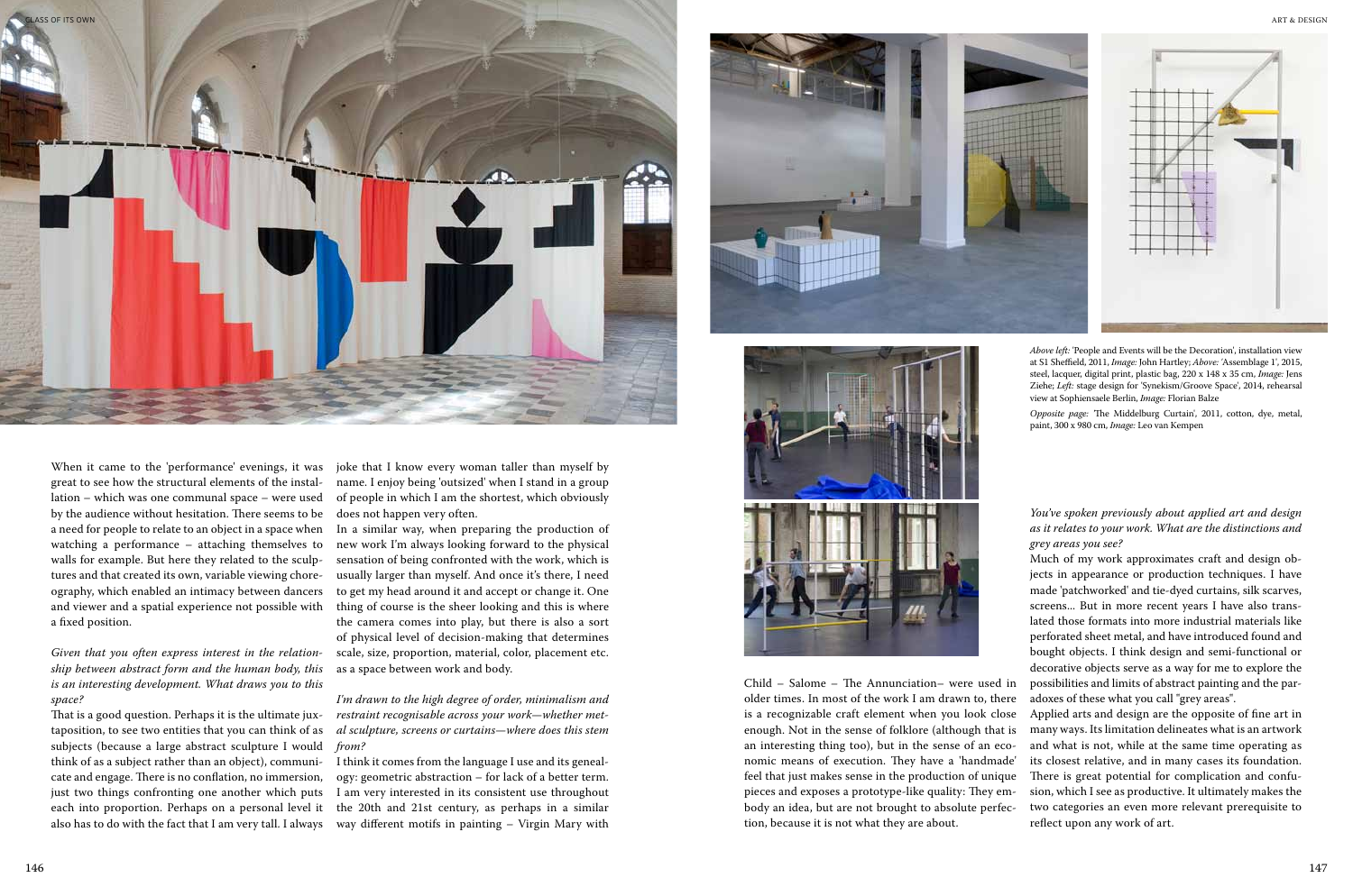

Child – Salome – The Annunciation– were used in older times. In most of the work I am drawn to, there is a recognizable craft element when you look close enough. Not in the sense of folklore (although that is an interesting thing too), but in the sense of an economic means of execution. They have a 'handmade' feel that just makes sense in the production of unique pieces and exposes a prototype-like quality: They embody an idea, but are not brought to absolute perfection, because it is not what they are about.

*You've spoken previously about applied art and design as it relates to your work. What are the distinctions and grey areas you see?*

Much of my work approximates craft and design objects in appearance or production techniques. I have made 'patchworked' and tie-dyed curtains, silk scarves, screens... But in more recent years I have also translated those formats into more industrial materials like perforated sheet metal, and have introduced found and bought objects. I think design and semi-functional or decorative objects serve as a way for me to explore the possibilities and limits of abstract painting and the paradoxes of these what you call "grey areas".

Applied arts and design are the opposite of fine art in many ways. Its limitation delineates what is an artwork and what is not, while at the same time operating as its closest relative, and in many cases its foundation. There is great potential for complication and confusion, which I see as productive. It ultimately makes the two categories an even more relevant prerequisite to reflect upon any work of art.

When it came to the 'performance' evenings, it was great to see how the structural elements of the installation – which was one communal space – were used by the audience without hesitation. There seems to be a need for people to relate to an object in a space when watching a performance – attaching themselves to walls for example. But here they related to the sculptures and that created its own, variable viewing choreography, which enabled an intimacy between dancers and viewer and a spatial experience not possible with a fixed position.

*Given that you often express interest in the relationship between abstract form and the human body, this is an interesting development. What draws you to this space?*

That is a good question. Perhaps it is the ultimate juxtaposition, to see two entities that you can think of as subjects (because a large abstract sculpture I would *from?* think of as a subject rather than an object), communicate and engage. There is no conflation, no immersion, just two things confronting one another which puts each into proportion. Perhaps on a personal level it also has to do with the fact that I am very tall. I always

joke that I know every woman taller than myself by name. I enjoy being 'outsized' when I stand in a group of people in which I am the shortest, which obviously does not happen very often.

In a similar way, when preparing the production of new work I'm always looking forward to the physical sensation of being confronted with the work, which is usually larger than myself. And once it's there, I need to get my head around it and accept or change it. One thing of course is the sheer looking and this is where the camera comes into play, but there is also a sort of physical level of decision-making that determines scale, size, proportion, material, color, placement etc. as a space between work and body.

*I'm drawn to the high degree of order, minimalism and restraint recognisable across your work—whether metal sculpture, screens or curtains—where does this stem* 

I think it comes from the language I use and its genealogy: geometric abstraction – for lack of a better term. I am very interested in its consistent use throughout the 20th and 21st century, as perhaps in a similar way different motifs in painting – Virgin Mary with





*Above left:* 'People and Events will be the Decoration', installation view at S1 Sheffield, 2011, *Image:* John Hartley; *Above: '*Assemblage 1', 2015, steel, lacquer, digital print, plastic bag, 220 x 148 x 35 cm, *Image:* Jens Ziehe; *Left:* stage design for 'Synekism/Groove Space', 2014, rehearsal view at Sophiensaele Berlin, *Image:* Florian Balze

*Opposite page: '*The Middelburg Curtain', 2011, cotton, dye, metal, paint, 300 x 980 cm, *Image:* Leo van Kempen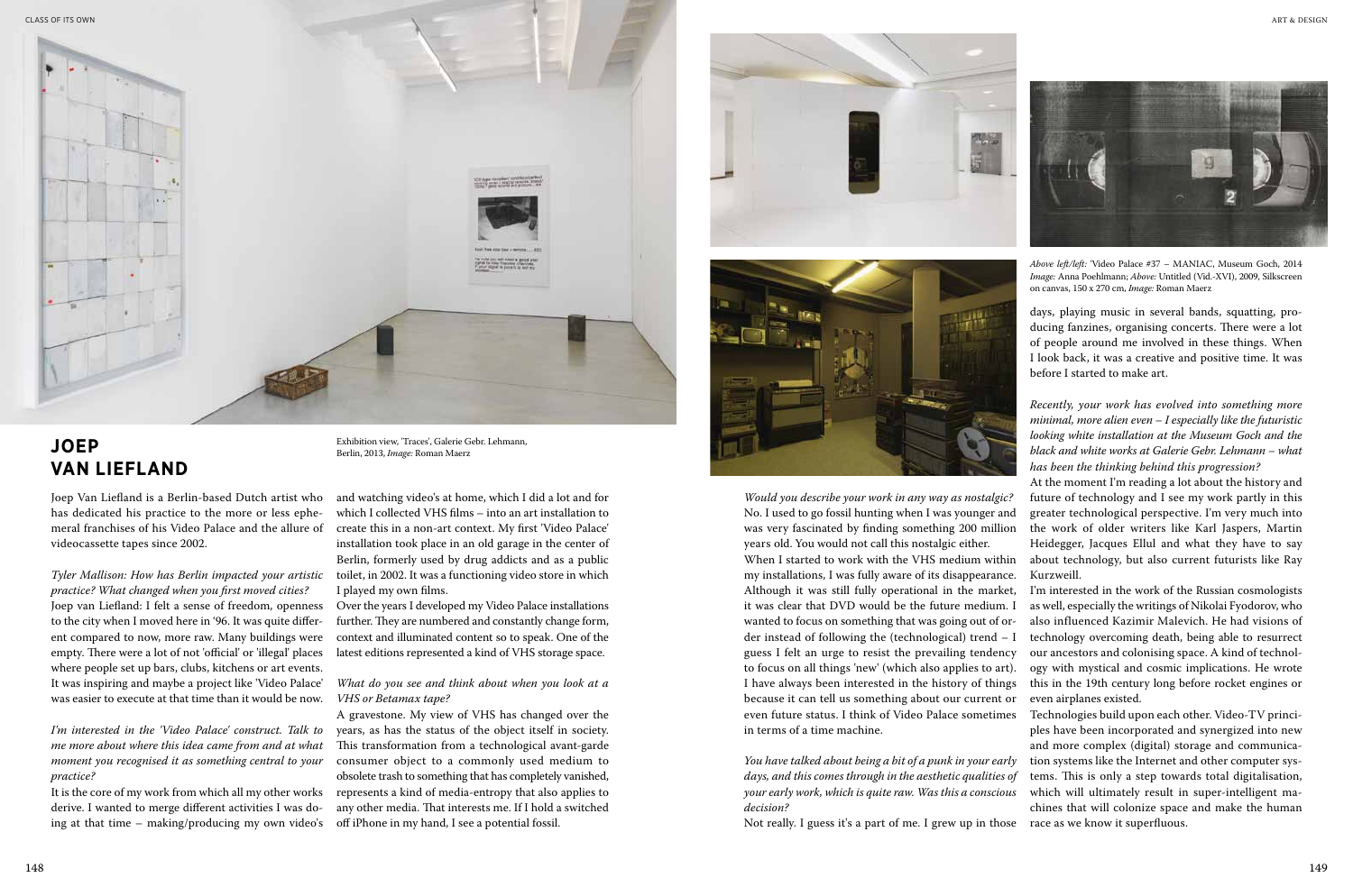Joep Van Liefland is a Berlin-based Dutch artist who has dedicated his practice to the more or less ephemeral franchises of his Video Palace and the allure of videocassette tapes since 2002.

*Tyler Mallison: How has Berlin impacted your artistic practice? What changed when you first moved cities?*  Joep van Liefland: I felt a sense of freedom, openness to the city when I moved here in '96. It was quite different compared to now, more raw. Many buildings were empty. There were a lot of not 'official' or 'illegal' places where people set up bars, clubs, kitchens or art events. It was inspiring and maybe a project like 'Video Palace' was easier to execute at that time than it would be now.

*I'm interested in the 'Video Palace' construct. Talk to me more about where this idea came from and at what moment you recognised it as something central to your practice?*

It is the core of my work from which all my other works derive. I wanted to merge different activities I was doing at that time – making/producing my own video's

*Would you describe your work in any way as nostalgic?* No. I used to go fossil hunting when I was younger and was very fascinated by finding something 200 million years old. You would not call this nostalgic either. When I started to work with the VHS medium within

my installations, I was fully aware of its disappearance. Although it was still fully operational in the market, it was clear that DVD would be the future medium. I wanted to focus on something that was going out of order instead of following the (technological) trend – I guess I felt an urge to resist the prevailing tendency to focus on all things 'new' (which also applies to art). I have always been interested in the history of things because it can tell us something about our current or even future status. I think of Video Palace sometimes in terms of a time machine.

*You have talked about being a bit of a punk in your early days, and this comes through in the aesthetic qualities of your early work, which is quite raw. Was this a conscious decision?*



## **Joep van Liefland**

and watching video's at home, which I did a lot and for which I collected VHS films – into an art installation to create this in a non-art context. My first 'Video Palace' installation took place in an old garage in the center of Berlin, formerly used by drug addicts and as a public toilet, in 2002. It was a functioning video store in which I played my own films.

Over the years I developed my Video Palace installations further. They are numbered and constantly change form, context and illuminated content so to speak. One of the latest editions represented a kind of VHS storage space.

*What do you see and think about when you look at a VHS or Betamax tape?*

A gravestone. My view of VHS has changed over the years, as has the status of the object itself in society. This transformation from a technological avant-garde consumer object to a commonly used medium to obsolete trash to something that has completely vanished, represents a kind of media-entropy that also applies to any other media. That interests me. If I hold a switched off iPhone in my hand, I see a potential fossil.





days, playing music in several bands, squatting, producing fanzines, organising concerts. There were a lot of people around me involved in these things. When I look back, it was a creative and positive time. It was before I started to make art.

Not really. I guess it's a part of me. I grew up in those race as we know it superfluous.

*Recently, your work has evolved into something more minimal, more alien even – I especially like the futuristic looking white installation at the Museum Goch and the black and white works at Galerie Gebr. Lehmann – what has been the thinking behind this progression?*

At the moment I'm reading a lot about the history and future of technology and I see my work partly in this greater technological perspective. I'm very much into the work of older writers like Karl Jaspers, Martin Heidegger, Jacques Ellul and what they have to say about technology, but also current futurists like Ray

Kurzweill.

I'm interested in the work of the Russian cosmologists as well, especially the writings of Nikolai Fyodorov, who also influenced Kazimir Malevich. He had visions of technology overcoming death, being able to resurrect our ancestors and colonising space. A kind of technology with mystical and cosmic implications. He wrote this in the 19th century long before rocket engines or even airplanes existed.

Technologies build upon each other. Video-TV principles have been incorporated and synergized into new and more complex (digital) storage and communication systems like the Internet and other computer systems. This is only a step towards total digitalisation, which will ultimately result in super-intelligent machines that will colonize space and make the human

Exhibition view, 'Traces', Galerie Gebr. Lehmann, Berlin, 2013, *Image:* Roman Maerz



*Above left/left:* 'Video Palace #37 – MANIAC, Museum Goch, 2014 *Image:* Anna Poehlmann; *Above:* Untitled (Vid.-XVI), 2009, Silkscreen on canvas, 150 x 270 cm, *Image:* Roman Maerz